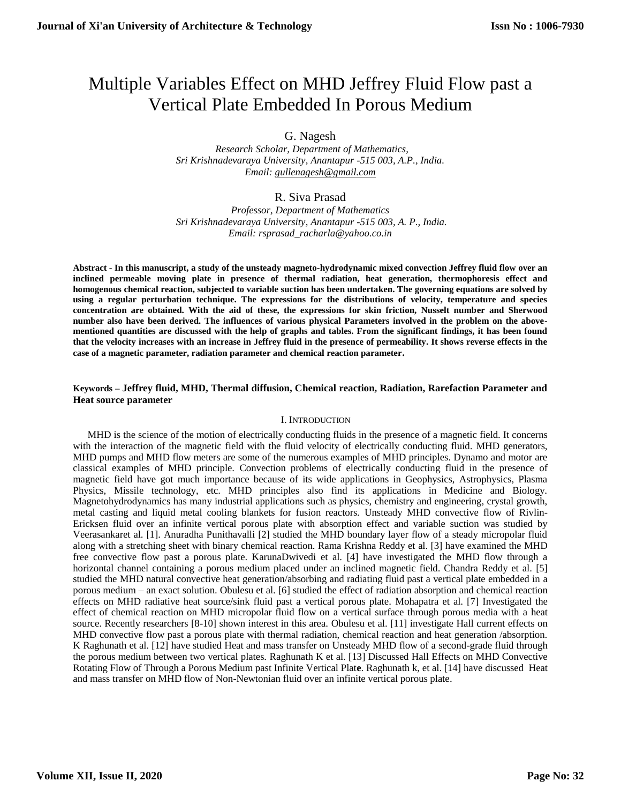# Multiple Variables Effect on MHD Jeffrey Fluid Flow past a Vertical Plate Embedded In Porous Medium

G. Nagesh

 *Research Scholar, Department of Mathematics, Sri Krishnadevaraya University, Anantapur -515 003, A.P., India. Email: [gullenagesh@gmail.com](mailto:gullenagesh@gmail.com)*

# R. Siva Prasad

*Professor, Department of Mathematics Sri Krishnadevaraya University, Anantapur -515 003, A. P., India. Email: rsprasad\_racharla@yahoo.co.in*

**Abstract** - **In this manuscript, a study of the unsteady magneto-hydrodynamic mixed convection Jeffrey fluid flow over an inclined permeable moving plate in presence of thermal radiation, heat generation, thermophoresis effect and homogenous chemical reaction, subjected to variable suction has been undertaken. The governing equations are solved by using a regular perturbation technique. The expressions for the distributions of velocity, temperature and species concentration are obtained. With the aid of these, the expressions for skin friction, Nusselt number and Sherwood number also have been derived. The influences of various physical Parameters involved in the problem on the abovementioned quantities are discussed with the help of graphs and tables. From the significant findings, it has been found that the velocity increases with an increase in Jeffrey fluid in the presence of permeability. It shows reverse effects in the case of a magnetic parameter, radiation parameter and chemical reaction parameter.**

## **Keywords – Jeffrey fluid, MHD, Thermal diffusion, Chemical reaction, Radiation, Rarefaction Parameter and Heat source parameter**

#### I. INTRODUCTION

MHD is the science of the motion of electrically conducting fluids in the presence of a magnetic field. It concerns with the interaction of the magnetic field with the fluid velocity of electrically conducting fluid. MHD generators, MHD pumps and MHD flow meters are some of the numerous examples of MHD principles. Dynamo and motor are classical examples of MHD principle. Convection problems of electrically conducting fluid in the presence of magnetic field have got much importance because of its wide applications in Geophysics, Astrophysics, Plasma Physics, Missile technology, etc. MHD principles also find its applications in Medicine and Biology. Magnetohydrodynamics has many industrial applications such as physics, chemistry and engineering, crystal growth, metal casting and liquid metal cooling blankets for fusion reactors. Unsteady MHD convective flow of Rivlin-Ericksen fluid over an infinite vertical porous plate with absorption effect and variable suction was studied by Veerasankaret al. [1]. Anuradha Punithavalli [2] studied the MHD boundary layer flow of a steady micropolar fluid along with a stretching sheet with binary chemical reaction. Rama Krishna Reddy et al. [3] have examined the MHD free convective flow past a porous plate. KarunaDwivedi et al. [4] have investigated the MHD flow through a horizontal channel containing a porous medium placed under an inclined magnetic field. Chandra Reddy et al. [5] studied the MHD natural convective heat generation/absorbing and radiating fluid past a vertical plate embedded in a porous medium – an exact solution. Obulesu et al. [6] studied the effect of radiation absorption and chemical reaction effects on MHD radiative heat source/sink fluid past a vertical porous plate. Mohapatra et al. [7] Investigated the effect of chemical reaction on MHD micropolar fluid flow on a vertical surface through porous media with a heat source. Recently researchers [8-10] shown interest in this area. Obulesu et al. [11] investigate Hall current effects on MHD convective flow past a porous plate with thermal radiation, chemical reaction and heat generation /absorption. K Raghunath et al. [12] have studied Heat and mass transfer on Unsteady MHD flow of a second-grade fluid through the porous medium between two vertical plates. Raghunath K et al. [13] Discussed Hall Effects on MHD Convective Rotating Flow of Through a Porous Medium past Infinite Vertical Plat**e**. Raghunath k, et al. [14] have discussed Heat and mass transfer on MHD flow of Non-Newtonian fluid over an infinite vertical porous plate.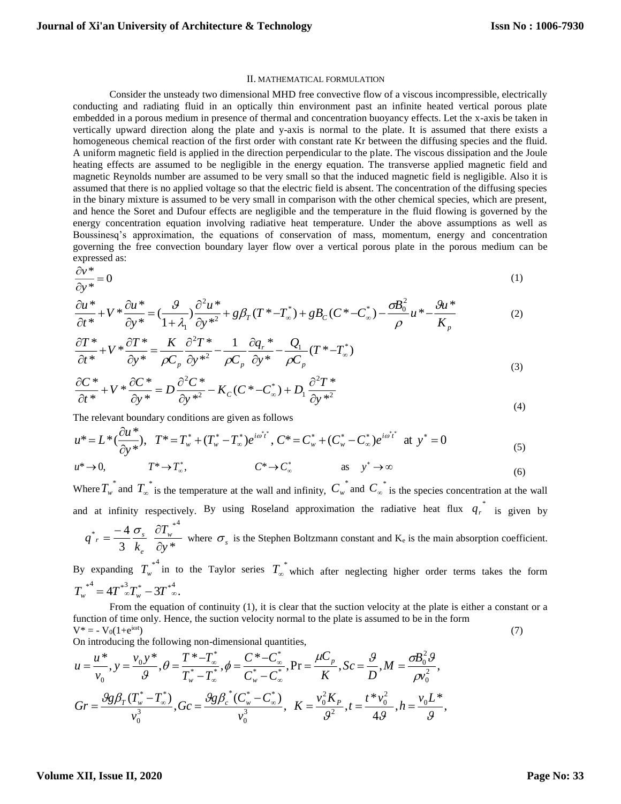#### II. MATHEMATICAL FORMULATION

Consider the unsteady two dimensional MHD free convective flow of a viscous incompressible, electrically conducting and radiating fluid in an optically thin environment past an infinite heated vertical porous plate embedded in a porous medium in presence of thermal and concentration buoyancy effects. Let the x-axis be taken in vertically upward direction along the plate and y-axis is normal to the plate. It is assumed that there exists a homogeneous chemical reaction of the first order with constant rate Kr between the diffusing species and the fluid. A uniform magnetic field is applied in the direction perpendicular to the plate. The viscous dissipation and the Joule heating effects are assumed to be negligible in the energy equation. The transverse applied magnetic field and magnetic Reynolds number are assumed to be very small so that the induced magnetic field is negligible. Also it is assumed that there is no applied voltage so that the electric field is absent. The concentration of the diffusing species in the binary mixture is assumed to be very small in comparison with the other chemical species, which are present, and hence the Soret and Dufour effects are negligible and the temperature in the fluid flowing is governed by the energy concentration equation involving radiative heat temperature. Under the above assumptions as well as Boussinesq's approximation, the equations of conservation of mass, momentum, energy and concentration governing the free convection boundary layer flow over a vertical porous plate in the porous medium can be expressed as:

$$
\frac{\partial v^*}{\partial y^*} = 0\tag{1}
$$

$$
\frac{\partial u^*}{\partial t^*} + V^* \frac{\partial u^*}{\partial y^*} = \left(\frac{g}{1+\lambda_1}\right) \frac{\partial^2 u^*}{\partial y^{*2}} + g\beta_T (T^* - T^*) + gB_C (C^* - C^*) - \frac{\partial B_0^2}{\rho} u^* - \frac{g u^*}{K_p} \tag{2}
$$

$$
\frac{\partial T^*}{\partial t^*} + V^* \frac{\partial T^*}{\partial y^*} = \frac{K}{\rho C_p} \frac{\partial^2 T^*}{\partial y^{*2}} - \frac{1}{\rho C_p} \frac{\partial q_r^*}{\partial y^*} - \frac{Q_1}{\rho C_p} (T^* - T_\infty^*)
$$
\n(3)

$$
\frac{\partial C^*}{\partial t^*} + V^* \frac{\partial C^*}{\partial y^*} = D \frac{\partial^2 C^*}{\partial y^{*2}} - K_C (C^* - C_\infty^*) + D_1 \frac{\partial^2 T^*}{\partial y^{*2}}
$$
\n(4)

The relevant boundary conditions are given as follows

$$
u^* = L^* \left( \frac{\partial u^*}{\partial y^*} \right), \quad T^* = T_w^* + (T_w^* - T_\infty^*) e^{i\omega^* t^*}, \quad C^* = C_w^* + (C_w^* - C_\infty^*) e^{i\omega^* t^*} \quad \text{at} \quad y^* = 0
$$
\n<sup>(5)</sup>

$$
u^* \to 0, \qquad T^* \to T^*, \qquad C^* \to C^*_{\infty} \qquad \text{as} \quad y^* \to \infty
$$
 (6)

Where  $T_w^*$  and  $T_\infty^*$  is the temperature at the wall and infinity,  $C_w^*$  and  $C_\infty^*$  is the species concentration at the wall and at infinity respectively. By using Roseland approximation the radiative heat flux  $q_r^*$  is given by  $4 \sigma \tilde{a}T^*$ <sup>4</sup>

$$
q^* = \frac{-4}{3} \frac{\sigma_s}{k_e} \frac{\sigma_{I_w}}{\partial y^*}
$$
 where  $\sigma_s$  is the Stephen Boltzmann constant and K<sub>e</sub> is the main absorption coefficient.

By expanding  $T_w^{*4}$  in to the Taylor series  $T_\infty^*$  which after neglecting higher order terms takes the form  $T_w^{*4} = 4T_{\infty}^{*3}T_w^* - 3T_{\infty}^{*4}.$ 

From the equation of continuity (1), it is clear that the suction velocity at the plate is either a constant or a function of time only. Hence, the suction velocity normal to the plate is assumed to be in the form  $V^* = -V_0(1 + e^{i\omega t})$  (7)

On introducing the following non-dimensional quantities,

$$
u = \frac{u^*}{v_0}, y = \frac{v_0 y^*}{g}, \theta = \frac{T^* - T^*_{\infty}}{T^*_{w} - T^*_{\infty}}, \phi = \frac{C^* - C^*_{\infty}}{C^*_{w} - C^*_{\infty}}, \text{Pr} = \frac{\mu C_p}{K}, Sc = \frac{g}{D}, M = \frac{\sigma B_0^2 \vartheta}{\rho v_0^2},
$$
  

$$
Gr = \frac{\vartheta g \beta_T (T^*_{w} - T^*_{\infty})}{v_0^3}, Gc = \frac{\vartheta g \beta_c^* (C^*_{w} - C^*_{\infty})}{v_0^3}, K = \frac{v_0^2 K_p}{\vartheta^2}, t = \frac{t^* v_0^2}{4 \vartheta}, h = \frac{v_0 L^*}{\vartheta},
$$

#### **Volume XII, Issue II, 2020**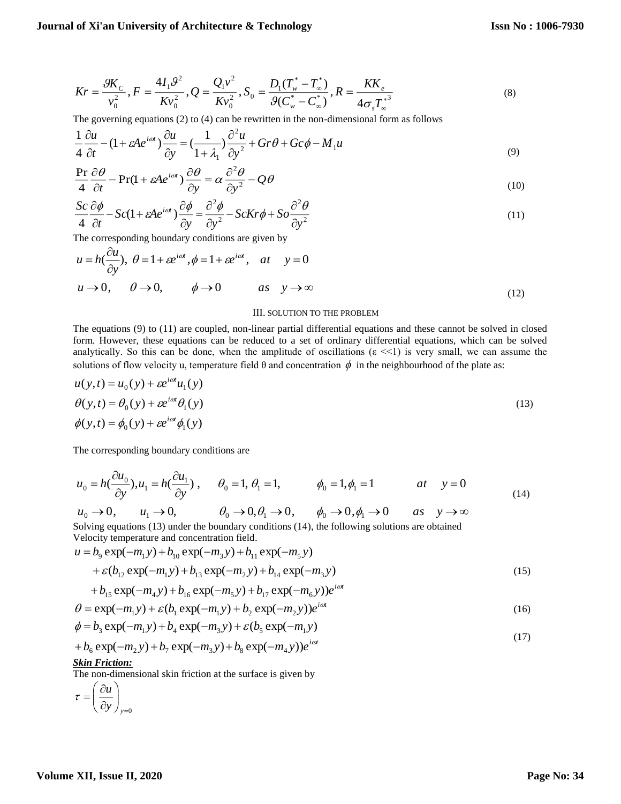$$
Kr = \frac{9K_C}{v_0^2}, F = \frac{4I_19^2}{Kv_0^2}, Q = \frac{Q_1v^2}{Kv_0^2}, S_0 = \frac{D_1(T_w^* - T_\infty^*)}{9(C_w^* - C_\infty^*)}, R = \frac{KK_e}{4\sigma_s T_\infty^{*3}}
$$
(8)

The governing equations (2) to (4) can be rewritten in the non-dimensional form as follows

$$
\frac{1}{4}\frac{\partial u}{\partial t} - (1 + \varepsilon A e^{i\omega t}) \frac{\partial u}{\partial y} = \left(\frac{1}{1 + \lambda_1}\right) \frac{\partial^2 u}{\partial y^2} + Gr\theta + Gc\phi - M_1 u \tag{9}
$$

$$
\frac{\Pr}{4} \frac{\partial \theta}{\partial t} - \Pr(1 + \varepsilon A e^{i\omega t}) \frac{\partial \theta}{\partial y} = \alpha \frac{\partial^2 \theta}{\partial y^2} - Q\theta \tag{10}
$$

$$
\frac{Sc}{4} \frac{\partial \phi}{\partial t} - Sc(1 + \varepsilon A e^{i\omega t}) \frac{\partial \phi}{\partial y} = \frac{\partial^2 \phi}{\partial y^2} - ScKr\phi + So \frac{\partial^2 \theta}{\partial y^2}
$$
(11)

The corresponding boundary conditions are given by

$$
u = h\left(\frac{\partial u}{\partial y}\right), \ \theta = 1 + \varepsilon e^{i\omega t}, \ \phi = 1 + \varepsilon e^{i\omega t}, \quad at \quad y = 0
$$
\n
$$
u \to 0, \qquad \theta \to 0, \qquad \phi \to 0 \qquad as \quad y \to \infty \tag{12}
$$

#### III. SOLUTION TO THE PROBLEM

The equations (9) to (11) are coupled, non-linear partial differential equations and these cannot be solved in closed form. However, these equations can be reduced to a set of ordinary differential equations, which can be solved analytically. So this can be done, when the amplitude of oscillations ( $\varepsilon \ll 1$ ) is very small, we can assume the solutions of flow velocity u, temperature field  $\theta$  and concentration  $\phi$  in the neighbourhood of the plate as:

$$
u(y,t) = u_0(y) + \varepsilon e^{i\omega t} u_1(y)
$$
  
\n
$$
\theta(y,t) = \theta_0(y) + \varepsilon e^{i\omega t} \theta_1(y)
$$
  
\n
$$
\phi(y,t) = \phi_0(y) + \varepsilon e^{i\omega t} \phi_1(y)
$$
\n(13)

The corresponding boundary conditions are

$$
u_0 = h\left(\frac{\partial u_0}{\partial y}\right), u_1 = h\left(\frac{\partial u_1}{\partial y}\right), \qquad \theta_0 = 1, \theta_1 = 1, \qquad \phi_0 = 1, \phi_1 = 1 \qquad at \quad y = 0
$$
\n
$$
(14)
$$

$$
u_0 \to 0
$$
,  $u_1 \to 0$ ,  $\theta_0 \to 0$ ,  $\theta_1 \to 0$ ,  $\phi_0 \to 0$ ,  $\phi_1 \to 0$  as  $y \to \infty$   
Solving equations (13) under the boundary conditions (14), the following solutions are obtained

Velocity temperature and concentration field.

$$
u = b_9 \exp(-m_1 y) + b_{10} \exp(-m_3 y) + b_{11} \exp(-m_5 y) + \varepsilon (b_{12} \exp(-m_1 y) + b_{13} \exp(-m_2 y) + b_{14} \exp(-m_3 y)
$$
(15)

$$
+b_{15}\exp(-m_4y)+b_{16}\exp(-m_5y)+b_{17}\exp(-m_6y))e^{i\omega t}\theta = \exp(-m_1y)+\varepsilon(b_1\exp(-m_1y)+b_2\exp(-m_2y))e^{i\omega t}
$$
\n(16)

$$
\phi = b_3 \exp(-m_1 y) + b_4 \exp(-m_3 y) + \varepsilon (b_5 \exp(-m_1 y))
$$
\n(17)

$$
+b_6 \exp(-m_2 y) + b_7 \exp(-m_3 y) + b_8 \exp(-m_4 y))e^{i\omega t}
$$
\n(17)

## *Skin Friction:*

The non-dimensional skin friction at the surface is given by

$$
\tau = \left(\frac{\partial u}{\partial y}\right)_{y=0}
$$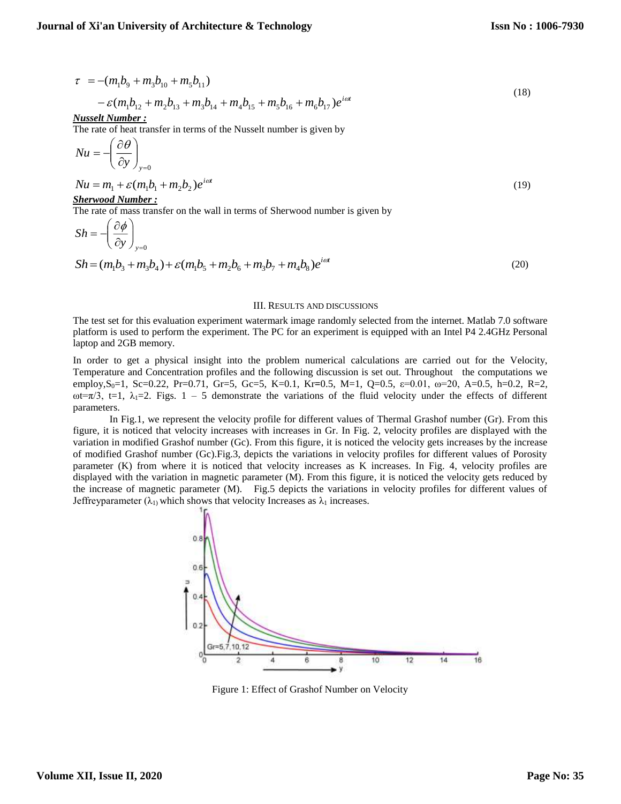$$
\tau = -(m_1b_9 + m_3b_{10} + m_5b_{11})
$$
\n(18)

$$
-\mathcal{E}(m_1b_{12} + m_2b_{13} + m_3b_{14} + m_4b_{15} + m_5b_{16} + m_6b_{17})e^{i\omega t}
$$

*Nusselt Number :*

The rate of heat transfer in terms of the Nusselt number is given by

$$
Nu = -\left(\frac{\partial \theta}{\partial y}\right)_{y=0}
$$

$$
Nu = m_1 + \varepsilon (m_1 b_1 + m_2 b_2) e^{i\omega t}
$$
  
Sherwood Number : (19)

The rate of mass transfer on the wall in terms of Sherwood number is given by

$$
Sh = -\left(\frac{\partial \phi}{\partial y}\right)_{y=0}
$$
  

$$
Sh = (m_1b_3 + m_3b_4) + \varepsilon(m_1b_5 + m_2b_6 + m_3b_7 + m_4b_8)e^{i\alpha t}
$$
 (20)

#### III. RESULTS AND DISCUSSIONS

The test set for this evaluation experiment watermark image randomly selected from the internet. Matlab 7.0 software platform is used to perform the experiment. The PC for an experiment is equipped with an Intel P4 2.4GHz Personal laptop and 2GB memory.

In order to get a physical insight into the problem numerical calculations are carried out for the Velocity, Temperature and Concentration profiles and the following discussion is set out. Throughout the computations we employ,S0=1, Sc=0.22, Pr=0.71, Gr=5, Gc=5, K=0.1, Kr**=**0.5, M=1, Q=0.5, ε=0.01, ω=20, A=0.5, h=0.2, R=2,  $ωt = π/3$ , t=1,  $λ_1 = 2$ . Figs. 1 – 5 demonstrate the variations of the fluid velocity under the effects of different parameters.

In Fig.1, we represent the velocity profile for different values of Thermal Grashof number (Gr). From this figure, it is noticed that velocity increases with increases in Gr. In Fig. 2, velocity profiles are displayed with the variation in modified Grashof number (Gc). From this figure, it is noticed the velocity gets increases by the increase of modified Grashof number (Gc).Fig.3, depicts the variations in velocity profiles for different values of Porosity parameter (K) from where it is noticed that velocity increases as K increases. In Fig. 4, velocity profiles are displayed with the variation in magnetic parameter (M). From this figure, it is noticed the velocity gets reduced by the increase of magnetic parameter (M). Fig.5 depicts the variations in velocity profiles for different values of Jeffreyparameter ( $\lambda_1$ ) which shows that velocity Increases as  $\lambda_1$  increases.



Figure 1: Effect of Grashof Number on Velocity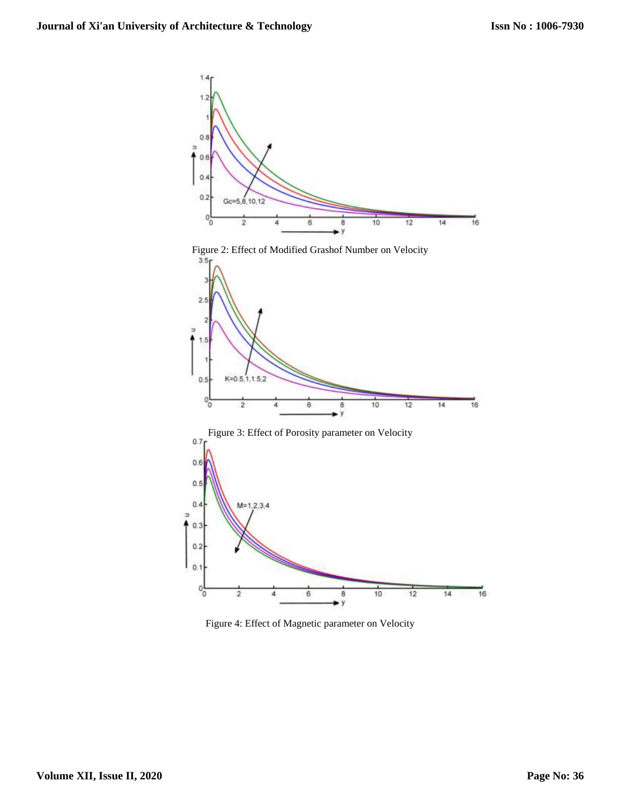









Figure 4: Effect of Magnetic parameter on Velocity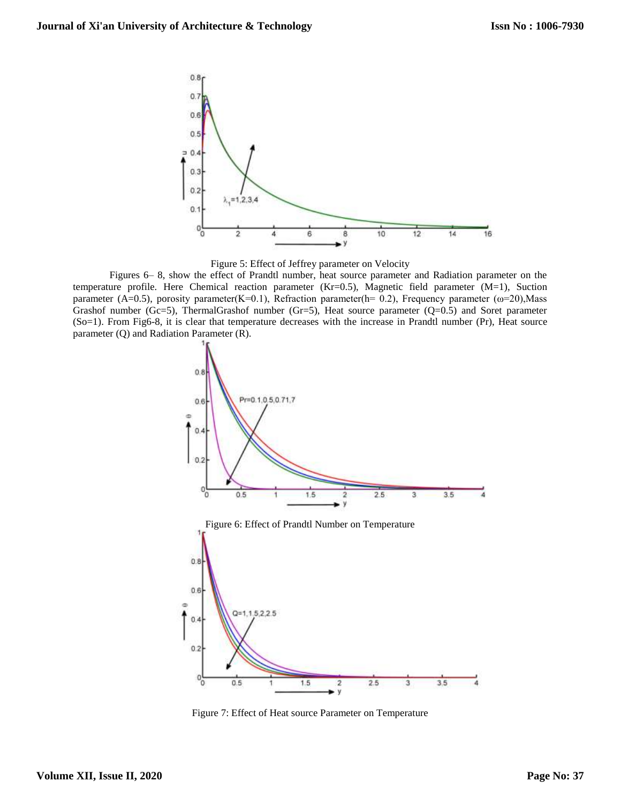



Figures 6– 8, show the effect of Prandtl number, heat source parameter and Radiation parameter on the temperature profile. Here Chemical reaction parameter (Kr=0.5), Magnetic field parameter (M=1), Suction parameter (A=0.5), porosity parameter(K=0.1), Refraction parameter(h= 0.2), Frequency parameter ( $\omega$ =20), Mass Grashof number (Gc=5), ThermalGrashof number (Gr=5), Heat source parameter (Q=0.5) and Soret parameter (So=1). From Fig6-8, it is clear that temperature decreases with the increase in Prandtl number (Pr), Heat source parameter (Q) and Radiation Parameter (R).



Figure 7: Effect of Heat source Parameter on Temperature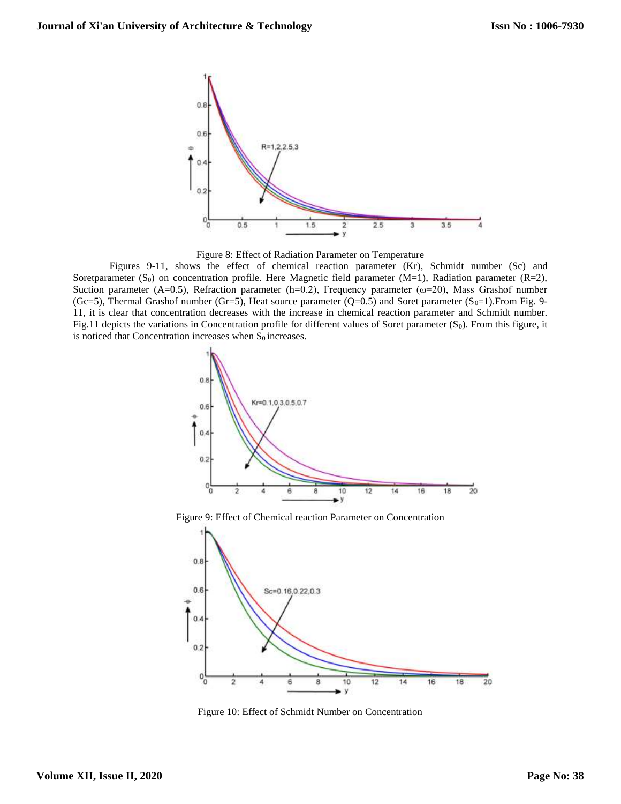

Figure 8: Effect of Radiation Parameter on Temperature

Figures 9-11, shows the effect of chemical reaction parameter (Kr), Schmidt number (Sc) and Soretparameter (S<sub>0</sub>) on concentration profile. Here Magnetic field parameter (M=1), Radiation parameter (R=2), Suction parameter (A=0.5), Refraction parameter (h=0.2), Frequency parameter (ω=20), Mass Grashof number (Gc=5), Thermal Grashof number (Gr=5), Heat source parameter (Q=0.5) and Soret parameter (S<sub>0</sub>=1). From Fig. 9-11, it is clear that concentration decreases with the increase in chemical reaction parameter and Schmidt number. Fig.11 depicts the variations in Concentration profile for different values of Soret parameter  $(S_0)$ . From this figure, it is noticed that Concentration increases when  $S_0$  increases.



Figure 9: Effect of Chemical reaction Parameter on Concentration



Figure 10: Effect of Schmidt Number on Concentration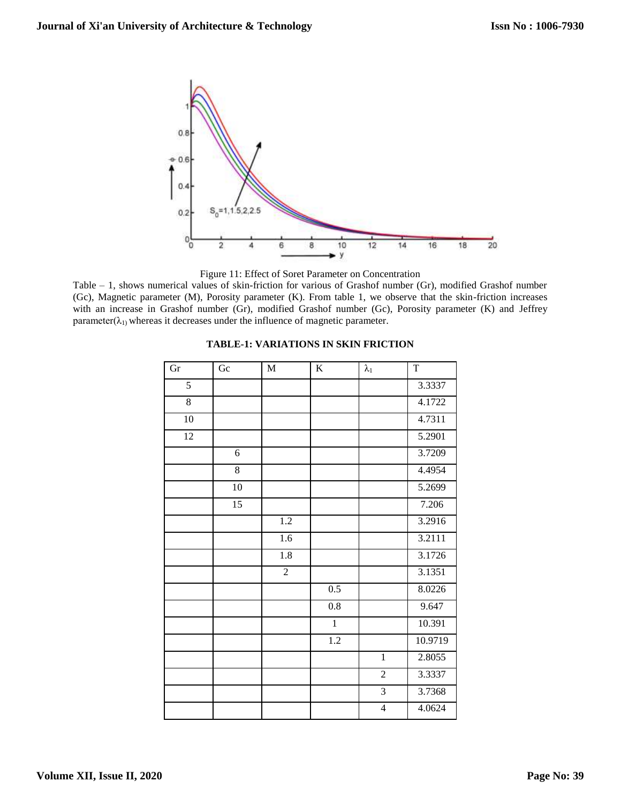

Figure 11: Effect of Soret Parameter on Concentration

Table – 1, shows numerical values of skin-friction for various of Grashof number (Gr), modified Grashof number (Gc), Magnetic parameter (M), Porosity parameter (K). From table 1, we observe that the skin-friction increases with an increase in Grashof number (Gr), modified Grashof number (Gc), Porosity parameter (K) and Jeffrey parameter( $\lambda_1$ ) whereas it decreases under the influence of magnetic parameter.

| Gr              | ${\rm G}{\rm c}$ | $\mathbf M$      | $\bf K$          | $\lambda_1$    | $\mathbf T$         |
|-----------------|------------------|------------------|------------------|----------------|---------------------|
| 5               |                  |                  |                  |                | 3.3337              |
| $\overline{8}$  |                  |                  |                  |                | $\overline{4.1722}$ |
| 10              |                  |                  |                  |                | 4.7311              |
| $\overline{12}$ |                  |                  |                  |                | 5.2901              |
|                 | 6                |                  |                  |                | 3.7209              |
|                 | $\overline{8}$   |                  |                  |                | 4.4954              |
|                 | 10               |                  |                  |                | 5.2699              |
|                 | $\overline{15}$  |                  |                  |                | 7.206               |
|                 |                  | $\overline{1.2}$ |                  |                | 3.2916              |
|                 |                  | $\overline{1.6}$ |                  |                | 3.2111              |
|                 |                  | $\overline{1.8}$ |                  |                | 3.1726              |
|                 |                  | $\overline{2}$   |                  |                | 3.1351              |
|                 |                  |                  | 0.5              |                | 8.0226              |
|                 |                  |                  | $\overline{0.8}$ |                | 9.647               |
|                 |                  |                  | $\overline{1}$   |                | 10.391              |
|                 |                  |                  | $\overline{1.2}$ |                | 10.9719             |
|                 |                  |                  |                  | $\overline{1}$ | 2.8055              |
|                 |                  |                  |                  | $\overline{2}$ | 3.3337              |
|                 |                  |                  |                  | $\overline{3}$ | 3.7368              |
|                 |                  |                  |                  | $\overline{4}$ | 4.0624              |

## **TABLE-1: VARIATIONS IN SKIN FRICTION**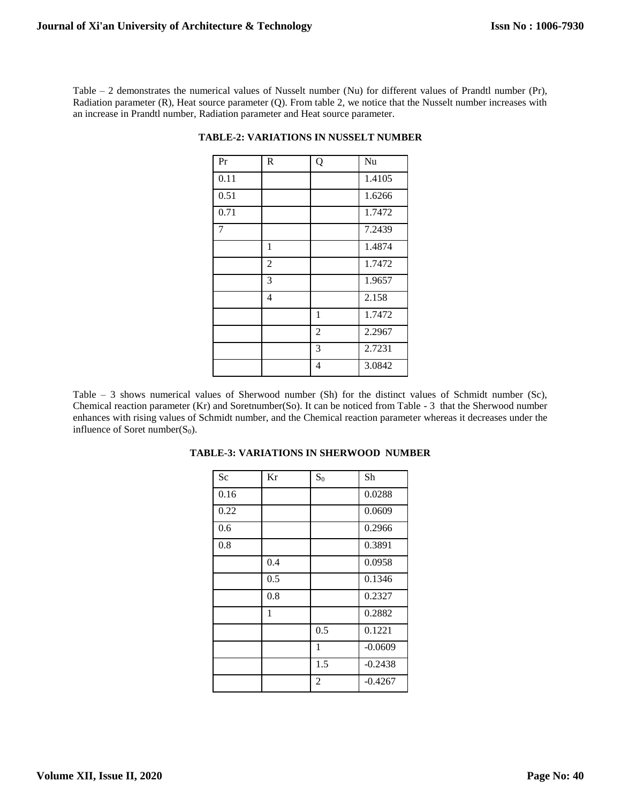Table – 2 demonstrates the numerical values of Nusselt number (Nu) for different values of Prandtl number (Pr), Radiation parameter (R), Heat source parameter (Q). From table 2, we notice that the Nusselt number increases with an increase in Prandtl number, Radiation parameter and Heat source parameter.

| $\overline{Pr}$ | $\mathbf R$    | Q              | Nu     |
|-----------------|----------------|----------------|--------|
| 0.11            |                |                | 1.4105 |
| 0.51            |                |                | 1.6266 |
| 0.71            |                |                | 1.7472 |
| 7               |                |                | 7.2439 |
|                 | $\mathbf{1}$   |                | 1.4874 |
|                 | $\overline{2}$ |                | 1.7472 |
|                 | 3              |                | 1.9657 |
|                 | 4              |                | 2.158  |
|                 |                | 1              | 1.7472 |
|                 |                | $\overline{2}$ | 2.2967 |
|                 |                | 3              | 2.7231 |
|                 |                | 4              | 3.0842 |

**TABLE-2: VARIATIONS IN NUSSELT NUMBER**

Table  $-3$  shows numerical values of Sherwood number (Sh) for the distinct values of Schmidt number (Sc), Chemical reaction parameter (Kr) and Soretnumber(So). It can be noticed from Table - 3 that the Sherwood number enhances with rising values of Schmidt number, and the Chemical reaction parameter whereas it decreases under the influence of Soret number( $S_0$ ).

| Sc   | Kr  | $S_0$          | Sh        |
|------|-----|----------------|-----------|
| 0.16 |     |                | 0.0288    |
| 0.22 |     |                | 0.0609    |
| 0.6  |     |                | 0.2966    |
| 0.8  |     |                | 0.3891    |
|      | 0.4 |                | 0.0958    |
|      | 0.5 |                | 0.1346    |
|      | 0.8 |                | 0.2327    |
|      | 1   |                | 0.2882    |
|      |     | 0.5            | 0.1221    |
|      |     | 1              | $-0.0609$ |
|      |     | 1.5            | $-0.2438$ |
|      |     | $\overline{2}$ | $-0.4267$ |

## **TABLE-3: VARIATIONS IN SHERWOOD NUMBER**